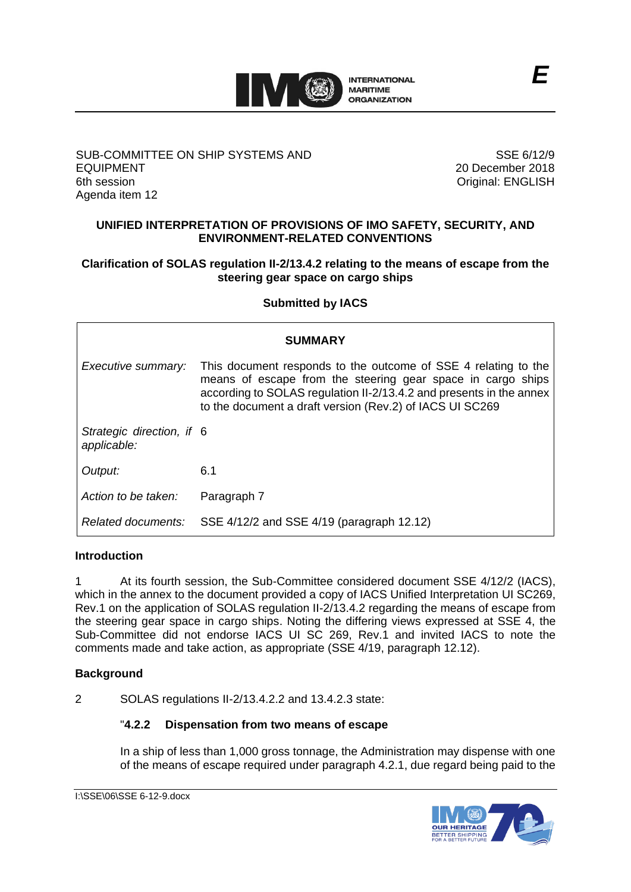

#### SUB-COMMITTEE ON SHIP SYSTEMS AND EQUIPMENT 6th session Agenda item 12

SSE 6/12/9 20 December 2018 Original: ENGLISH

#### **UNIFIED INTERPRETATION OF PROVISIONS OF IMO SAFETY, SECURITY, AND ENVIRONMENT-RELATED CONVENTIONS**

#### **Clarification of SOLAS regulation II-2/13.4.2 relating to the means of escape from the steering gear space on cargo ships**

#### **Submitted by IACS**

| <b>SUMMARY</b>                           |                                                                                                                                                                                                                                                                  |
|------------------------------------------|------------------------------------------------------------------------------------------------------------------------------------------------------------------------------------------------------------------------------------------------------------------|
| Executive summary:                       | This document responds to the outcome of SSE 4 relating to the<br>means of escape from the steering gear space in cargo ships<br>according to SOLAS regulation II-2/13.4.2 and presents in the annex<br>to the document a draft version (Rev.2) of IACS UI SC269 |
| Strategic direction, if 6<br>applicable: |                                                                                                                                                                                                                                                                  |
| Output:                                  | 6.1                                                                                                                                                                                                                                                              |
| Action to be taken:                      | Paragraph 7                                                                                                                                                                                                                                                      |
|                                          | Related documents: SSE 4/12/2 and SSE 4/19 (paragraph 12.12)                                                                                                                                                                                                     |

#### **Introduction**

1 At its fourth session, the Sub-Committee considered document SSE 4/12/2 (IACS), which in the annex to the document provided a copy of IACS Unified Interpretation UI SC269, Rev.1 on the application of SOLAS regulation II-2/13.4.2 regarding the means of escape from the steering gear space in cargo ships. Noting the differing views expressed at SSE 4, the Sub-Committee did not endorse IACS UI SC 269, Rev.1 and invited IACS to note the comments made and take action, as appropriate (SSE 4/19, paragraph 12.12).

#### **Background**

2 SOLAS regulations II-2/13.4.2.2 and 13.4.2.3 state:

#### "**4.2.2 Dispensation from two means of escape**

In a ship of less than 1,000 gross tonnage, the Administration may dispense with one of the means of escape required under paragraph 4.2.1, due regard being paid to the

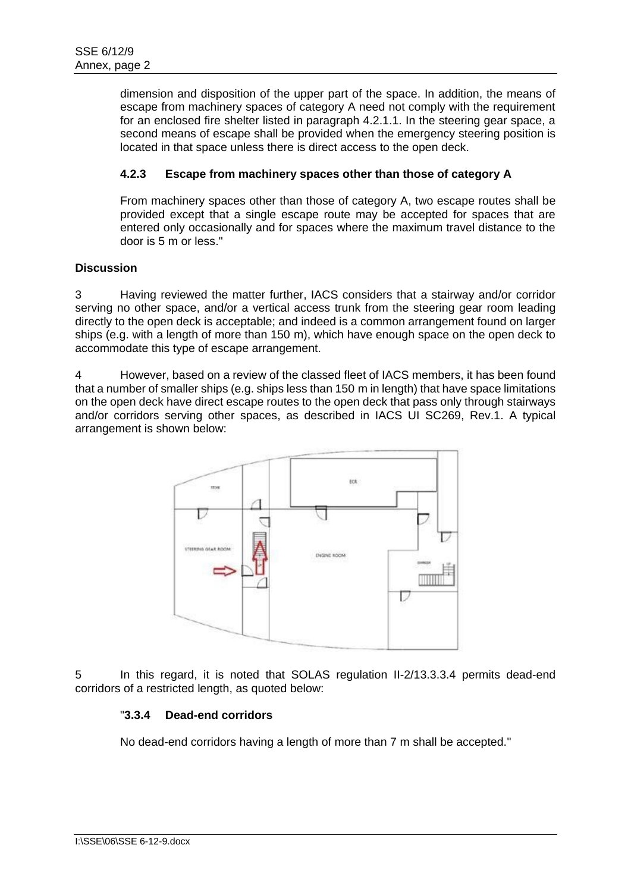dimension and disposition of the upper part of the space. In addition, the means of escape from machinery spaces of category A need not comply with the requirement for an enclosed fire shelter listed in paragraph 4.2.1.1. In the steering gear space, a second means of escape shall be provided when the emergency steering position is located in that space unless there is direct access to the open deck.

### **4.2.3 Escape from machinery spaces other than those of category A**

From machinery spaces other than those of category A, two escape routes shall be provided except that a single escape route may be accepted for spaces that are entered only occasionally and for spaces where the maximum travel distance to the door is 5 m or less."

#### **Discussion**

3 Having reviewed the matter further, IACS considers that a stairway and/or corridor serving no other space, and/or a vertical access trunk from the steering gear room leading directly to the open deck is acceptable; and indeed is a common arrangement found on larger ships (e.g. with a length of more than 150 m), which have enough space on the open deck to accommodate this type of escape arrangement.

4 However, based on a review of the classed fleet of IACS members, it has been found that a number of smaller ships (e.g. ships less than 150 m in length) that have space limitations on the open deck have direct escape routes to the open deck that pass only through stairways and/or corridors serving other spaces, as described in IACS UI SC269, Rev.1. A typical arrangement is shown below:



5 In this regard, it is noted that SOLAS regulation II-2/13.3.3.4 permits dead-end corridors of a restricted length, as quoted below:

#### "**3.3.4 Dead-end corridors**

No dead-end corridors having a length of more than 7 m shall be accepted."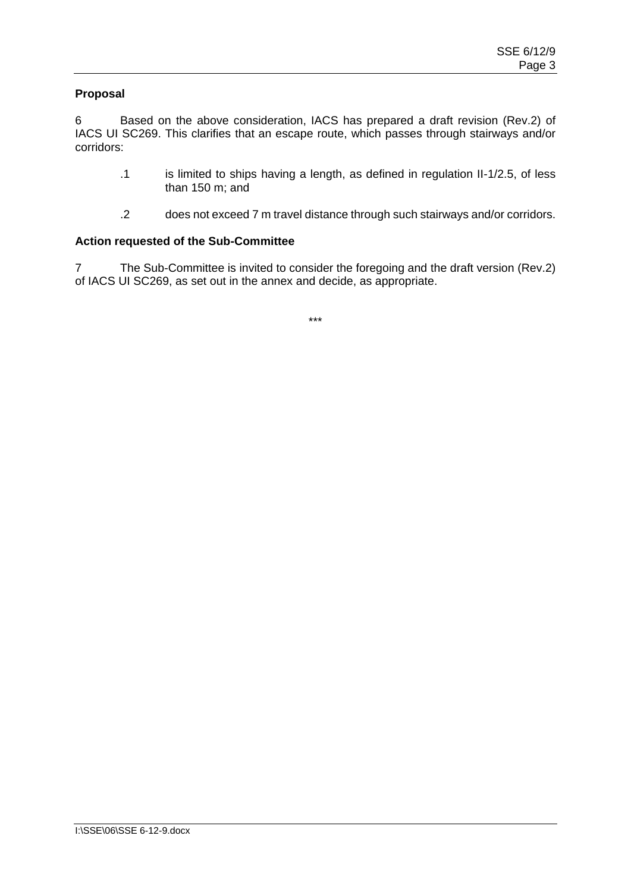#### **Proposal**

6 Based on the above consideration, IACS has prepared a draft revision (Rev.2) of IACS UI SC269. This clarifies that an escape route, which passes through stairways and/or corridors:

- .1 is limited to ships having a length, as defined in regulation II-1/2.5, of less than 150 m; and
- .2 does not exceed 7 m travel distance through such stairways and/or corridors.

#### **Action requested of the Sub-Committee**

7 The Sub-Committee is invited to consider the foregoing and the draft version (Rev.2) of IACS UI SC269, as set out in the annex and decide, as appropriate.

\*\*\*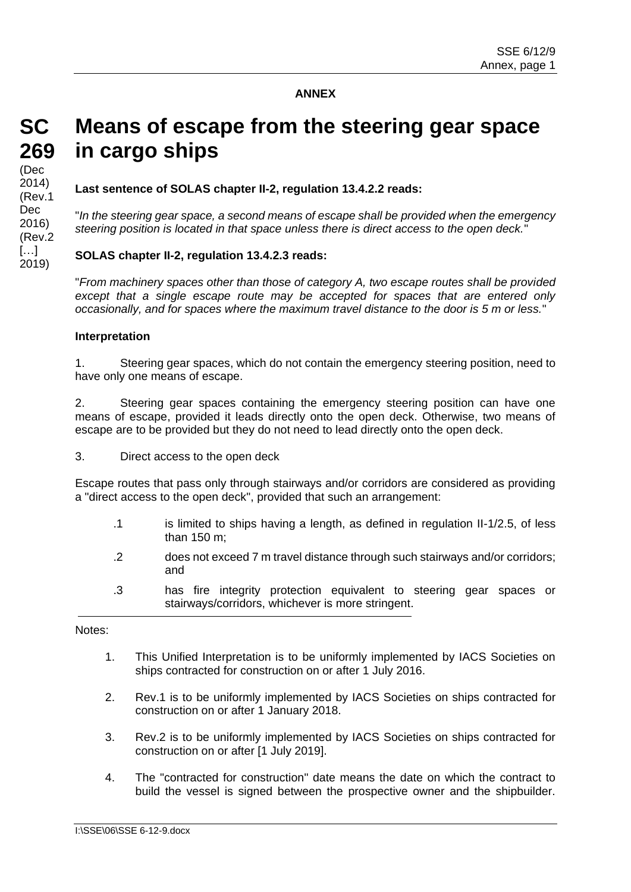#### **ANNEX**

## **SC 269** (Dec 2014) (Rev.1 Dec 2016) (Rev.2 […] 2019)

# **Means of escape from the steering gear space in cargo ships**

**Last sentence of SOLAS chapter II-2, regulation 13.4.2.2 reads:**

"*In the steering gear space, a second means of escape shall be provided when the emergency steering position is located in that space unless there is direct access to the open deck.*"

#### **SOLAS chapter II-2, regulation 13.4.2.3 reads:**

"*From machinery spaces other than those of category A, two escape routes shall be provided except that a single escape route may be accepted for spaces that are entered only occasionally, and for spaces where the maximum travel distance to the door is 5 m or less.*"

#### **Interpretation**

1. Steering gear spaces, which do not contain the emergency steering position, need to have only one means of escape.

2. Steering gear spaces containing the emergency steering position can have one means of escape, provided it leads directly onto the open deck. Otherwise, two means of escape are to be provided but they do not need to lead directly onto the open deck.

3. Direct access to the open deck

Escape routes that pass only through stairways and/or corridors are considered as providing a "direct access to the open deck", provided that such an arrangement:

- .1 is limited to ships having a length, as defined in regulation II-1/2.5, of less than 150 m;
- .2 does not exceed 7 m travel distance through such stairways and/or corridors; and
- .3 has fire integrity protection equivalent to steering gear spaces or stairways/corridors, whichever is more stringent.

Notes:

- 1. This Unified Interpretation is to be uniformly implemented by IACS Societies on ships contracted for construction on or after 1 July 2016.
- 2. Rev.1 is to be uniformly implemented by IACS Societies on ships contracted for construction on or after 1 January 2018.
- 3. Rev.2 is to be uniformly implemented by IACS Societies on ships contracted for construction on or after [1 July 2019].
- 4. The "contracted for construction" date means the date on which the contract to build the vessel is signed between the prospective owner and the shipbuilder.